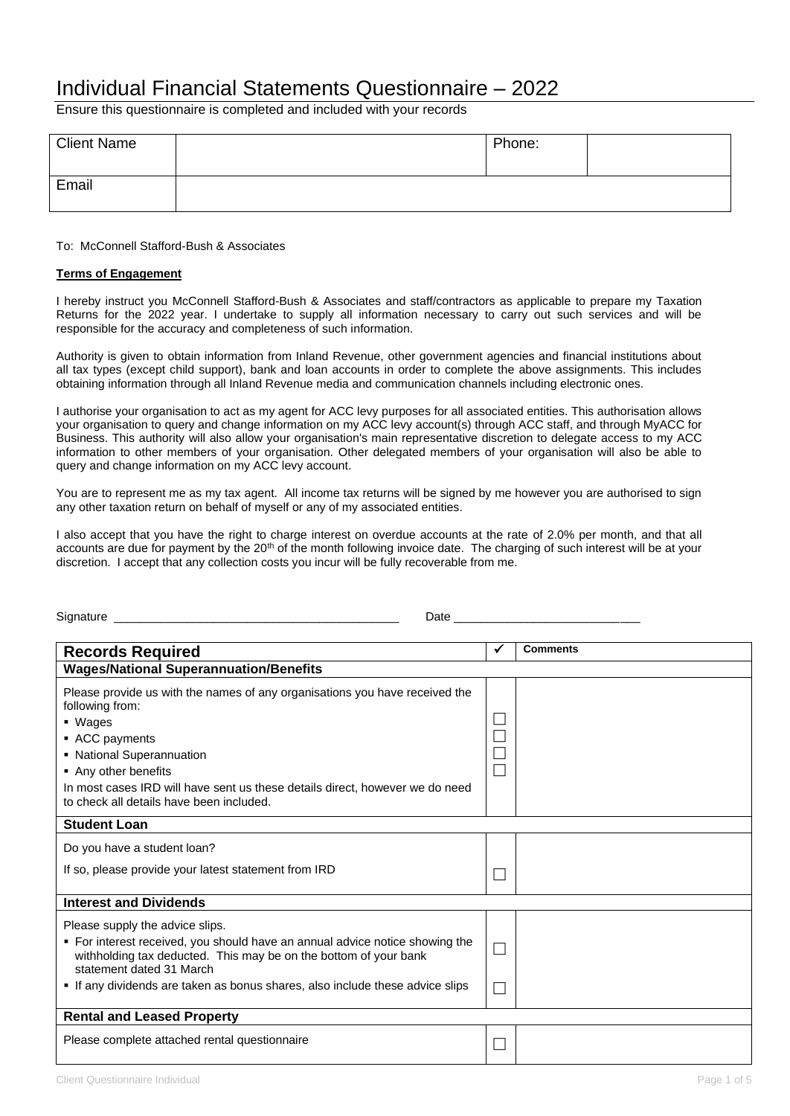## Individual Financial Statements Questionnaire – 2022

Ensure this questionnaire is completed and included with your records

| <b>Client Name</b> | Phone: |  |
|--------------------|--------|--|
| Email              |        |  |

## To: McConnell Stafford-Bush & Associates

## **Terms of Engagement**

I hereby instruct you McConnell Stafford-Bush & Associates and staff/contractors as applicable to prepare my Taxation Returns for the 2022 year. I undertake to supply all information necessary to carry out such services and will be responsible for the accuracy and completeness of such information.

Authority is given to obtain information from Inland Revenue, other government agencies and financial institutions about all tax types (except child support), bank and loan accounts in order to complete the above assignments. This includes obtaining information through all Inland Revenue media and communication channels including electronic ones.

I authorise your organisation to act as my agent for ACC levy purposes for all associated entities. This authorisation allows your organisation to query and change information on my ACC levy account(s) through ACC staff, and through MyACC for Business. This authority will also allow your organisation's main representative discretion to delegate access to my ACC information to other members of your organisation. Other delegated members of your organisation will also be able to query and change information on my ACC levy account.

You are to represent me as my tax agent. All income tax returns will be signed by me however you are authorised to sign any other taxation return on behalf of myself or any of my associated entities.

I also accept that you have the right to charge interest on overdue accounts at the rate of 2.0% per month, and that all accounts are due for payment by the 20<sup>th</sup> of the month following invoice date. The charging of such interest will be at your discretion. I accept that any collection costs you incur will be fully recoverable from me.

| Signature<br>Date                                                                                                                                                                                                                                                                                        |   |                 |
|----------------------------------------------------------------------------------------------------------------------------------------------------------------------------------------------------------------------------------------------------------------------------------------------------------|---|-----------------|
|                                                                                                                                                                                                                                                                                                          |   |                 |
| <b>Records Required</b>                                                                                                                                                                                                                                                                                  | ✔ | <b>Comments</b> |
| <b>Wages/National Superannuation/Benefits</b>                                                                                                                                                                                                                                                            |   |                 |
| Please provide us with the names of any organisations you have received the<br>following from:<br>• Wages<br>ACC payments<br>• National Superannuation<br>Any other benefits<br>In most cases IRD will have sent us these details direct, however we do need<br>to check all details have been included. |   |                 |
| <b>Student Loan</b>                                                                                                                                                                                                                                                                                      |   |                 |
| Do you have a student loan?<br>If so, please provide your latest statement from IRD                                                                                                                                                                                                                      |   |                 |
|                                                                                                                                                                                                                                                                                                          |   |                 |
| <b>Interest and Dividends</b>                                                                                                                                                                                                                                                                            |   |                 |
| Please supply the advice slips.<br>• For interest received, you should have an annual advice notice showing the<br>withholding tax deducted. This may be on the bottom of your bank<br>statement dated 31 March<br>If any dividends are taken as bonus shares, also include these advice slips           |   |                 |
| <b>Rental and Leased Property</b>                                                                                                                                                                                                                                                                        |   |                 |
| Please complete attached rental questionnaire                                                                                                                                                                                                                                                            |   |                 |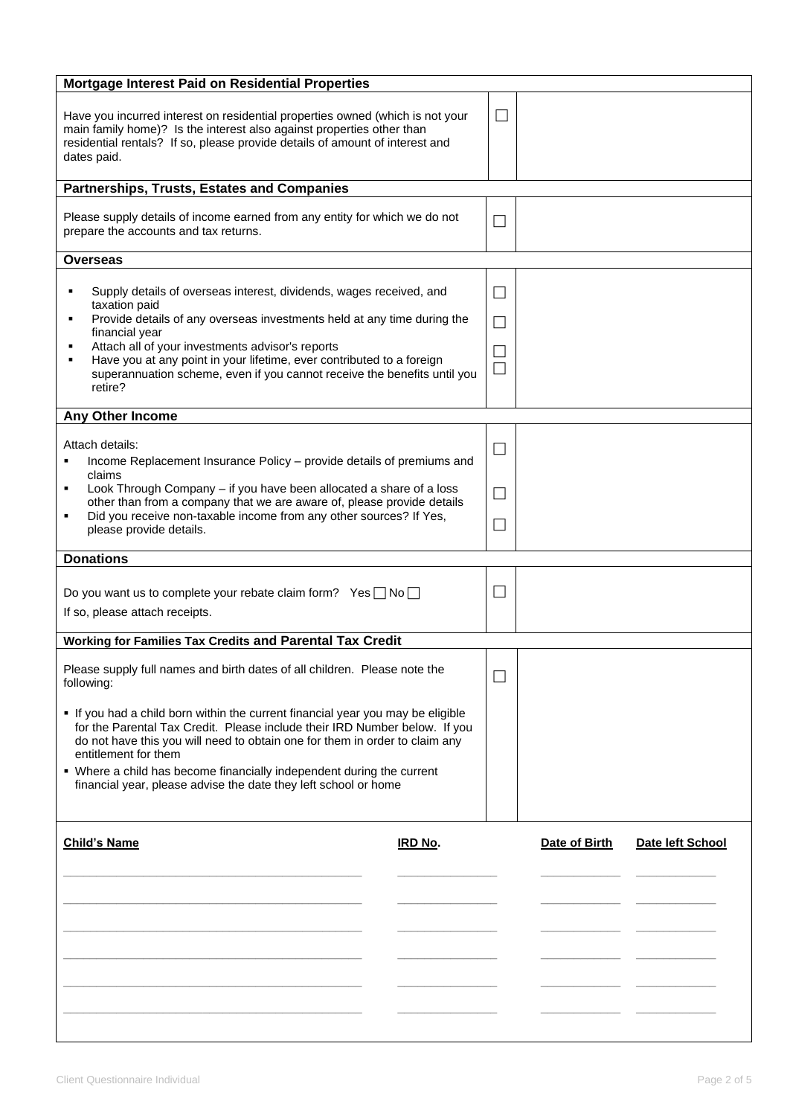| Mortgage Interest Paid on Residential Properties                                                                                                                                                                                                                                                                                                                                                                     |                |               |                  |  |
|----------------------------------------------------------------------------------------------------------------------------------------------------------------------------------------------------------------------------------------------------------------------------------------------------------------------------------------------------------------------------------------------------------------------|----------------|---------------|------------------|--|
| Have you incurred interest on residential properties owned (which is not your<br>main family home)? Is the interest also against properties other than<br>residential rentals? If so, please provide details of amount of interest and<br>dates paid.                                                                                                                                                                |                |               |                  |  |
| <b>Partnerships, Trusts, Estates and Companies</b>                                                                                                                                                                                                                                                                                                                                                                   |                |               |                  |  |
| Please supply details of income earned from any entity for which we do not<br>prepare the accounts and tax returns.                                                                                                                                                                                                                                                                                                  |                |               |                  |  |
| <b>Overseas</b>                                                                                                                                                                                                                                                                                                                                                                                                      |                |               |                  |  |
| Supply details of overseas interest, dividends, wages received, and<br>taxation paid<br>Provide details of any overseas investments held at any time during the<br>٠<br>financial year<br>Attach all of your investments advisor's reports<br>٠<br>Have you at any point in your lifetime, ever contributed to a foreign<br>٠<br>superannuation scheme, even if you cannot receive the benefits until you<br>retire? | $\blacksquare$ |               |                  |  |
| <b>Any Other Income</b>                                                                                                                                                                                                                                                                                                                                                                                              |                |               |                  |  |
| Attach details:<br>Income Replacement Insurance Policy - provide details of premiums and<br>٠<br>claims                                                                                                                                                                                                                                                                                                              |                |               |                  |  |
| Look Through Company - if you have been allocated a share of a loss<br>٠<br>other than from a company that we are aware of, please provide details<br>Did you receive non-taxable income from any other sources? If Yes,<br>٠<br>please provide details.                                                                                                                                                             | $\Box$         |               |                  |  |
| <b>Donations</b>                                                                                                                                                                                                                                                                                                                                                                                                     |                |               |                  |  |
| Do you want us to complete your rebate claim form? Yes $\Box$ No $\Box$<br>If so, please attach receipts.                                                                                                                                                                                                                                                                                                            |                |               |                  |  |
| Working for Families Tax Credits and Parental Tax Credit                                                                                                                                                                                                                                                                                                                                                             |                |               |                  |  |
| Please supply full names and birth dates of all children. Please note the<br>following:                                                                                                                                                                                                                                                                                                                              |                |               |                  |  |
| . If you had a child born within the current financial year you may be eligible<br>for the Parental Tax Credit. Please include their IRD Number below. If you<br>do not have this you will need to obtain one for them in order to claim any<br>entitlement for them                                                                                                                                                 |                |               |                  |  |
| • Where a child has become financially independent during the current<br>financial year, please advise the date they left school or home                                                                                                                                                                                                                                                                             |                |               |                  |  |
| <b>Child's Name</b><br>IRD No.                                                                                                                                                                                                                                                                                                                                                                                       |                | Date of Birth | Date left School |  |
|                                                                                                                                                                                                                                                                                                                                                                                                                      |                |               |                  |  |
|                                                                                                                                                                                                                                                                                                                                                                                                                      |                |               |                  |  |
|                                                                                                                                                                                                                                                                                                                                                                                                                      |                |               |                  |  |
|                                                                                                                                                                                                                                                                                                                                                                                                                      |                |               |                  |  |
|                                                                                                                                                                                                                                                                                                                                                                                                                      |                |               |                  |  |
|                                                                                                                                                                                                                                                                                                                                                                                                                      |                |               |                  |  |
|                                                                                                                                                                                                                                                                                                                                                                                                                      |                |               |                  |  |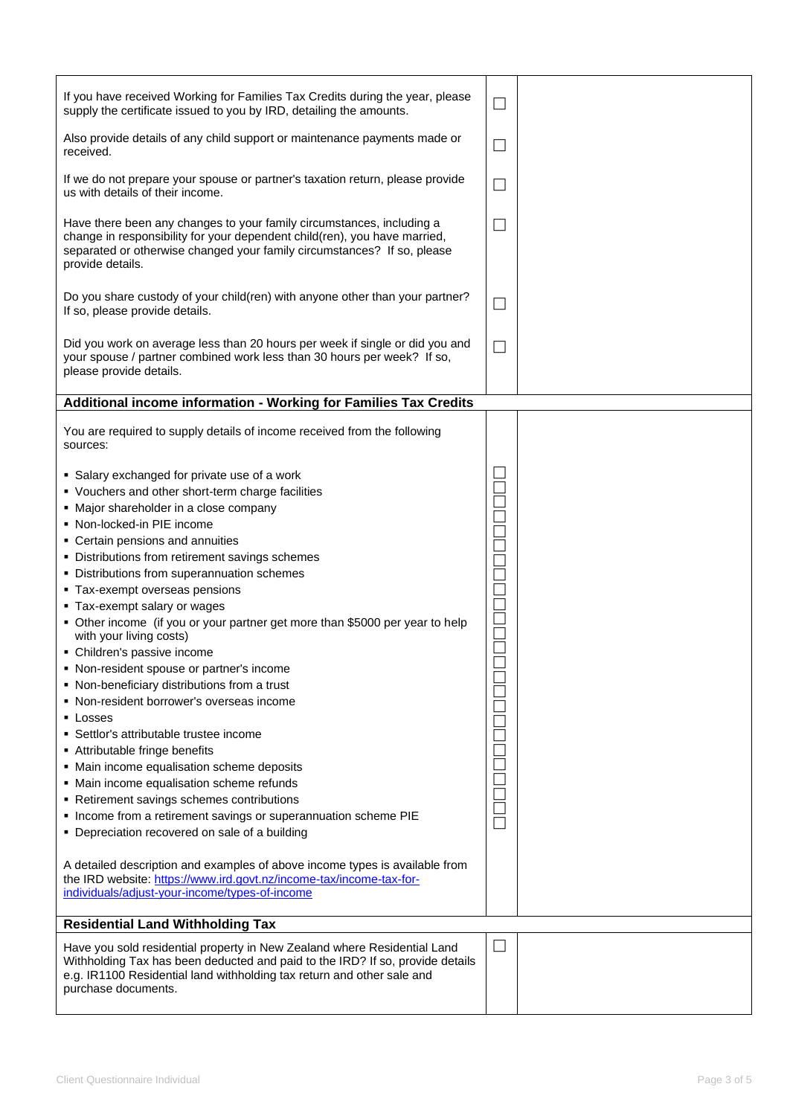| If you have received Working for Families Tax Credits during the year, please<br>supply the certificate issued to you by IRD, detailing the amounts.                                                                                                                                                                                                                                                                                                                                                                                                                                                                                                                                                                                                                                                                                                                                                                                                                                                                                                                                                                                                                                                                           | $\Box$            |  |
|--------------------------------------------------------------------------------------------------------------------------------------------------------------------------------------------------------------------------------------------------------------------------------------------------------------------------------------------------------------------------------------------------------------------------------------------------------------------------------------------------------------------------------------------------------------------------------------------------------------------------------------------------------------------------------------------------------------------------------------------------------------------------------------------------------------------------------------------------------------------------------------------------------------------------------------------------------------------------------------------------------------------------------------------------------------------------------------------------------------------------------------------------------------------------------------------------------------------------------|-------------------|--|
| Also provide details of any child support or maintenance payments made or<br>received.                                                                                                                                                                                                                                                                                                                                                                                                                                                                                                                                                                                                                                                                                                                                                                                                                                                                                                                                                                                                                                                                                                                                         | ⊔                 |  |
| If we do not prepare your spouse or partner's taxation return, please provide<br>us with details of their income.                                                                                                                                                                                                                                                                                                                                                                                                                                                                                                                                                                                                                                                                                                                                                                                                                                                                                                                                                                                                                                                                                                              | $\Box$            |  |
| Have there been any changes to your family circumstances, including a<br>change in responsibility for your dependent child(ren), you have married,<br>separated or otherwise changed your family circumstances? If so, please<br>provide details.                                                                                                                                                                                                                                                                                                                                                                                                                                                                                                                                                                                                                                                                                                                                                                                                                                                                                                                                                                              | $\vert \ \ \vert$ |  |
| Do you share custody of your child(ren) with anyone other than your partner?<br>If so, please provide details.                                                                                                                                                                                                                                                                                                                                                                                                                                                                                                                                                                                                                                                                                                                                                                                                                                                                                                                                                                                                                                                                                                                 | ⊔                 |  |
| Did you work on average less than 20 hours per week if single or did you and<br>your spouse / partner combined work less than 30 hours per week? If so,<br>please provide details.                                                                                                                                                                                                                                                                                                                                                                                                                                                                                                                                                                                                                                                                                                                                                                                                                                                                                                                                                                                                                                             | П                 |  |
| Additional income information - Working for Families Tax Credits                                                                                                                                                                                                                                                                                                                                                                                                                                                                                                                                                                                                                                                                                                                                                                                                                                                                                                                                                                                                                                                                                                                                                               |                   |  |
| You are required to supply details of income received from the following<br>sources:                                                                                                                                                                                                                                                                                                                                                                                                                                                                                                                                                                                                                                                                                                                                                                                                                                                                                                                                                                                                                                                                                                                                           |                   |  |
| • Salary exchanged for private use of a work<br>• Vouchers and other short-term charge facilities<br>• Major shareholder in a close company<br>• Non-locked-in PIE income<br>• Certain pensions and annuities<br>• Distributions from retirement savings schemes<br>• Distributions from superannuation schemes<br>• Tax-exempt overseas pensions<br>• Tax-exempt salary or wages<br>• Other income (if you or your partner get more than \$5000 per year to help<br>with your living costs)<br>• Children's passive income<br>• Non-resident spouse or partner's income<br>• Non-beneficiary distributions from a trust<br>• Non-resident borrower's overseas income<br>Losses<br>• Settlor's attributable trustee income<br>Attributable fringe benefits<br>• Main income equalisation scheme deposits<br>• Main income equalisation scheme refunds<br>• Retirement savings schemes contributions<br>Income from a retirement savings or superannuation scheme PIE<br>• Depreciation recovered on sale of a building<br>A detailed description and examples of above income types is available from<br>the IRD website: https://www.ird.govt.nz/income-tax/income-tax-for-<br>individuals/adjust-your-income/types-of-income | 100000<br>00000   |  |
| <b>Residential Land Withholding Tax</b>                                                                                                                                                                                                                                                                                                                                                                                                                                                                                                                                                                                                                                                                                                                                                                                                                                                                                                                                                                                                                                                                                                                                                                                        |                   |  |
| Have you sold residential property in New Zealand where Residential Land<br>Withholding Tax has been deducted and paid to the IRD? If so, provide details<br>e.g. IR1100 Residential land withholding tax return and other sale and<br>purchase documents.                                                                                                                                                                                                                                                                                                                                                                                                                                                                                                                                                                                                                                                                                                                                                                                                                                                                                                                                                                     | $\Box$            |  |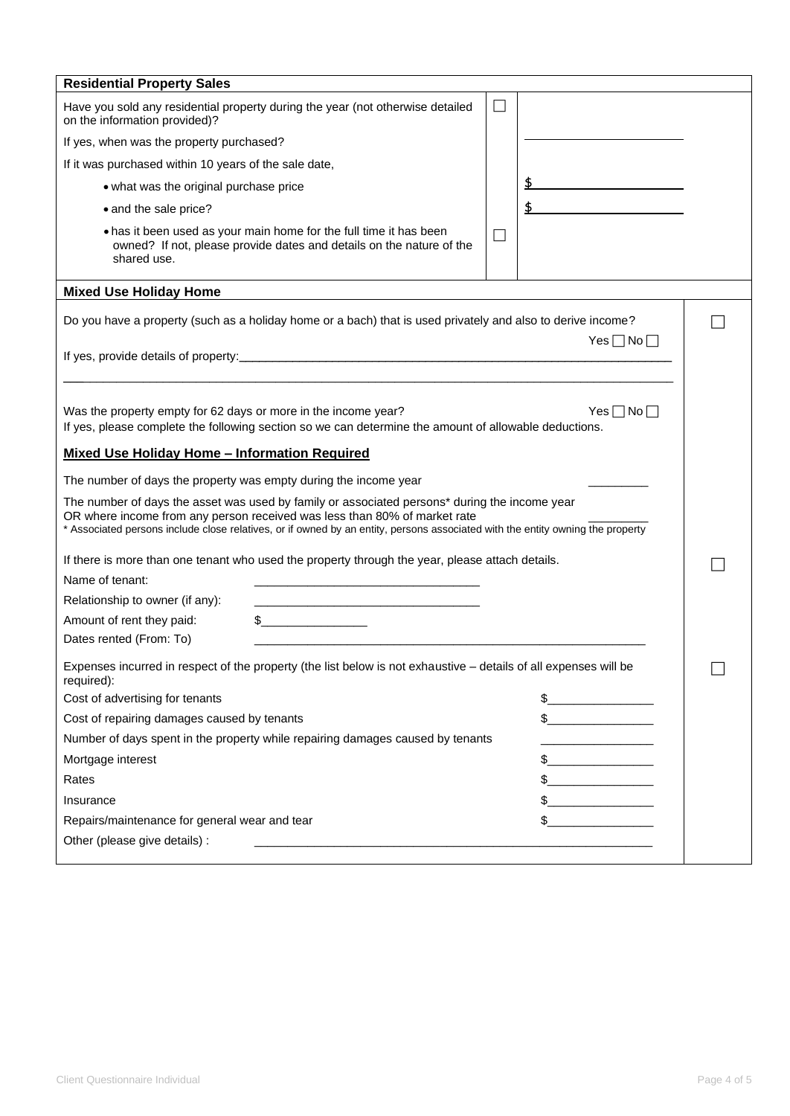| <b>Residential Property Sales</b>                                                                                                                                                                                                                                                                            |   |                                                                                                                                                                                                                                                                                                                                                     |  |
|--------------------------------------------------------------------------------------------------------------------------------------------------------------------------------------------------------------------------------------------------------------------------------------------------------------|---|-----------------------------------------------------------------------------------------------------------------------------------------------------------------------------------------------------------------------------------------------------------------------------------------------------------------------------------------------------|--|
| Have you sold any residential property during the year (not otherwise detailed<br>on the information provided)?                                                                                                                                                                                              | ⊔ |                                                                                                                                                                                                                                                                                                                                                     |  |
| If yes, when was the property purchased?                                                                                                                                                                                                                                                                     |   |                                                                                                                                                                                                                                                                                                                                                     |  |
| If it was purchased within 10 years of the sale date,                                                                                                                                                                                                                                                        |   |                                                                                                                                                                                                                                                                                                                                                     |  |
| • what was the original purchase price                                                                                                                                                                                                                                                                       |   |                                                                                                                                                                                                                                                                                                                                                     |  |
| • and the sale price?                                                                                                                                                                                                                                                                                        |   | <u> 1999 - Jan Sterlingen (</u>                                                                                                                                                                                                                                                                                                                     |  |
| . has it been used as your main home for the full time it has been<br>owned? If not, please provide dates and details on the nature of the<br>shared use.                                                                                                                                                    | П |                                                                                                                                                                                                                                                                                                                                                     |  |
| <b>Mixed Use Holiday Home</b>                                                                                                                                                                                                                                                                                |   |                                                                                                                                                                                                                                                                                                                                                     |  |
| Do you have a property (such as a holiday home or a bach) that is used privately and also to derive income?                                                                                                                                                                                                  |   | Yes $\Box$ No $\Box$                                                                                                                                                                                                                                                                                                                                |  |
|                                                                                                                                                                                                                                                                                                              |   |                                                                                                                                                                                                                                                                                                                                                     |  |
|                                                                                                                                                                                                                                                                                                              |   |                                                                                                                                                                                                                                                                                                                                                     |  |
| Was the property empty for 62 days or more in the income year?<br>$Yes \Box No \Box$<br>If yes, please complete the following section so we can determine the amount of allowable deductions.                                                                                                                |   |                                                                                                                                                                                                                                                                                                                                                     |  |
| <b>Mixed Use Holiday Home - Information Required</b>                                                                                                                                                                                                                                                         |   |                                                                                                                                                                                                                                                                                                                                                     |  |
| The number of days the property was empty during the income year                                                                                                                                                                                                                                             |   |                                                                                                                                                                                                                                                                                                                                                     |  |
| The number of days the asset was used by family or associated persons* during the income year<br>OR where income from any person received was less than 80% of market rate<br>* Associated persons include close relatives, or if owned by an entity, persons associated with the entity owning the property |   |                                                                                                                                                                                                                                                                                                                                                     |  |
| If there is more than one tenant who used the property through the year, please attach details.                                                                                                                                                                                                              |   |                                                                                                                                                                                                                                                                                                                                                     |  |
| Name of tenant:                                                                                                                                                                                                                                                                                              |   |                                                                                                                                                                                                                                                                                                                                                     |  |
| Relationship to owner (if any):                                                                                                                                                                                                                                                                              |   |                                                                                                                                                                                                                                                                                                                                                     |  |
| $\frac{1}{2}$<br>Amount of rent they paid:                                                                                                                                                                                                                                                                   |   |                                                                                                                                                                                                                                                                                                                                                     |  |
| Dates rented (From: To)                                                                                                                                                                                                                                                                                      |   |                                                                                                                                                                                                                                                                                                                                                     |  |
| Expenses incurred in respect of the property (the list below is not exhaustive - details of all expenses will be<br>required):                                                                                                                                                                               |   |                                                                                                                                                                                                                                                                                                                                                     |  |
| Cost of advertising for tenants                                                                                                                                                                                                                                                                              |   | $\begin{picture}(20,10) \put(0,0){\line(1,0){10}} \put(15,0){\line(1,0){10}} \put(15,0){\line(1,0){10}} \put(15,0){\line(1,0){10}} \put(15,0){\line(1,0){10}} \put(15,0){\line(1,0){10}} \put(15,0){\line(1,0){10}} \put(15,0){\line(1,0){10}} \put(15,0){\line(1,0){10}} \put(15,0){\line(1,0){10}} \put(15,0){\line(1,0){10}} \put(15,0){\line(1$ |  |
| Cost of repairing damages caused by tenants                                                                                                                                                                                                                                                                  |   | $\frac{1}{2}$                                                                                                                                                                                                                                                                                                                                       |  |
| Number of days spent in the property while repairing damages caused by tenants                                                                                                                                                                                                                               |   |                                                                                                                                                                                                                                                                                                                                                     |  |
| Mortgage interest                                                                                                                                                                                                                                                                                            |   |                                                                                                                                                                                                                                                                                                                                                     |  |
| Rates                                                                                                                                                                                                                                                                                                        |   |                                                                                                                                                                                                                                                                                                                                                     |  |
| Insurance                                                                                                                                                                                                                                                                                                    |   | <u> 1980 - Johann Barbara, martxa a</u>                                                                                                                                                                                                                                                                                                             |  |
| Repairs/maintenance for general wear and tear                                                                                                                                                                                                                                                                |   |                                                                                                                                                                                                                                                                                                                                                     |  |
| Other (please give details) :                                                                                                                                                                                                                                                                                |   |                                                                                                                                                                                                                                                                                                                                                     |  |
|                                                                                                                                                                                                                                                                                                              |   |                                                                                                                                                                                                                                                                                                                                                     |  |